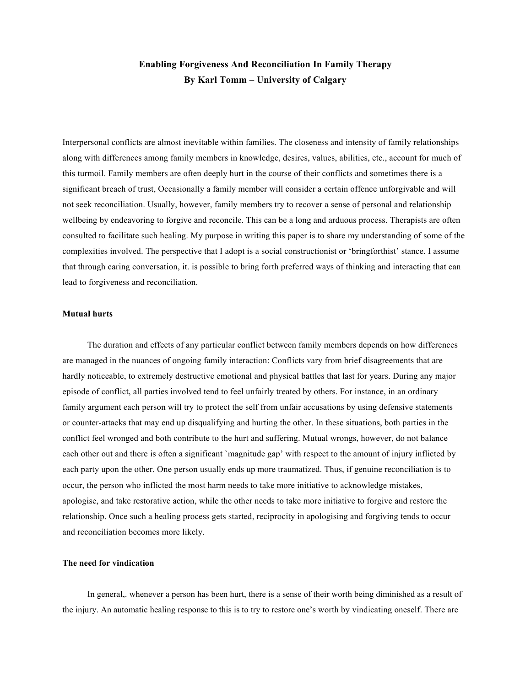# **Enabling Forgiveness And Reconciliation In Family Therapy By Karl Tomm – University of Calgary**

Interpersonal conflicts are almost inevitable within families. The closeness and intensity of family relationships along with differences among family members in knowledge, desires, values, abilities, etc., account for much of this turmoil. Family members are often deeply hurt in the course of their conflicts and sometimes there is a significant breach of trust, Occasionally a family member will consider a certain offence unforgivable and will not seek reconciliation. Usually, however, family members try to recover a sense of personal and relationship wellbeing by endeavoring to forgive and reconcile. This can be a long and arduous process. Therapists are often consulted to facilitate such healing. My purpose in writing this paper is to share my understanding of some of the complexities involved. The perspective that I adopt is a social constructionist or 'bringforthist' stance. I assume that through caring conversation, it. is possible to bring forth preferred ways of thinking and interacting that can lead to forgiveness and reconciliation.

# **Mutual hurts**

The duration and effects of any particular conflict between family members depends on how differences are managed in the nuances of ongoing family interaction: Conflicts vary from brief disagreements that are hardly noticeable, to extremely destructive emotional and physical battles that last for years. During any major episode of conflict, all parties involved tend to feel unfairly treated by others. For instance, in an ordinary family argument each person will try to protect the self from unfair accusations by using defensive statements or counter-attacks that may end up disqualifying and hurting the other. In these situations, both parties in the conflict feel wronged and both contribute to the hurt and suffering. Mutual wrongs, however, do not balance each other out and there is often a significant `magnitude gap' with respect to the amount of injury inflicted by each party upon the other. One person usually ends up more traumatized. Thus, if genuine reconciliation is to occur, the person who inflicted the most harm needs to take more initiative to acknowledge mistakes, apologise, and take restorative action, while the other needs to take more initiative to forgive and restore the relationship. Once such a healing process gets started, reciprocity in apologising and forgiving tends to occur and reconciliation becomes more likely.

## **The need for vindication**

In general,. whenever a person has been hurt, there is a sense of their worth being diminished as a result of the injury. An automatic healing response to this is to try to restore one's worth by vindicating oneself. There are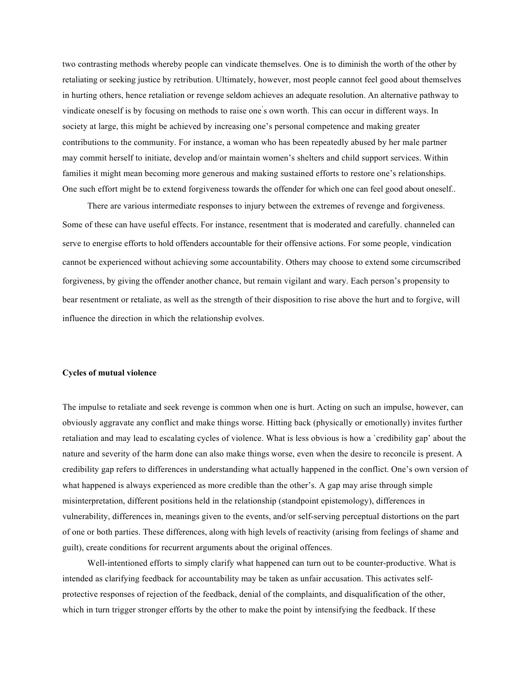two contrasting methods whereby people can vindicate themselves. One is to diminish the worth of the other by retaliating or seeking justice by retribution. Ultimately, however, most people cannot feel good about themselves in hurting others, hence retaliation or revenge seldom achieves an adequate resolution. An alternative pathway to vindicate oneself is by focusing on methods to raise one' s own worth. This can occur in different ways. In society at large, this might be achieved by increasing one's personal competence and making greater contributions to the community. For instance, a woman who has been repeatedly abused by her male partner may commit herself to initiate, develop and/or maintain women's shelters and child support services. Within families it might mean becoming more generous and making sustained efforts to restore one's relationships. One such effort might be to extend forgiveness towards the offender for which one can feel good about oneself..

There are various intermediate responses to injury between the extremes of revenge and forgiveness. Some of these can have useful effects. For instance, resentment that is moderated and carefully. channeled can serve to energise efforts to hold offenders accountable for their offensive actions. For some people, vindication cannot be experienced without achieving some accountability. Others may choose to extend some circumscribed forgiveness, by giving the offender another chance, but remain vigilant and wary. Each person's propensity to bear resentment or retaliate, as well as the strength of their disposition to rise above the hurt and to forgive, will influence the direction in which the relationship evolves.

#### **Cycles of mutual violence**

The impulse to retaliate and seek revenge is common when one is hurt. Acting on such an impulse, however, can obviously aggravate any conflict and make things worse. Hitting back (physically or emotionally) invites further retaliation and may lead to escalating cycles of violence. What is less obvious is how a `credibility gap' about the nature and severity of the harm done can also make things worse, even when the desire to reconcile is present. A credibility gap refers to differences in understanding what actually happened in the conflict. One's own version of what happened is always experienced as more credible than the other's. A gap may arise through simple misinterpretation, different positions held in the relationship (standpoint epistemology), differences in vulnerability, differences in, meanings given to the events, and/or self-serving perceptual distortions on the part of one or both parties. These differences, along with high levels of reactivity (arising from feelings of shame. and guilt), create conditions for recurrent arguments about the original offences.

Well-intentioned efforts to simply clarify what happened can turn out to be counter-productive. What is intended as clarifying feedback for accountability may be taken as unfair accusation. This activates selfprotective responses of rejection of the feedback, denial of the complaints, and disqualification of the other, which in turn trigger stronger efforts by the other to make the point by intensifying the feedback. If these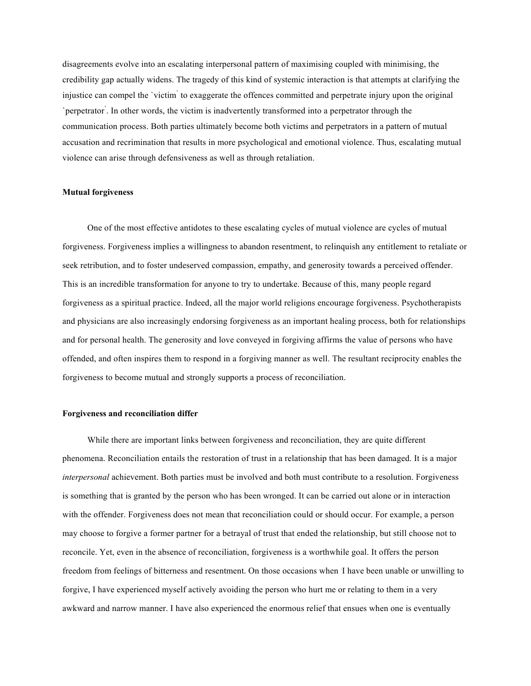disagreements evolve into an escalating interpersonal pattern of maximising coupled with minimising, the credibility gap actually widens. The tragedy of this kind of systemic interaction is that attempts at clarifying the injustice can compel the `victim' to exaggerate the offences committed and perpetrate injury upon the original `perpetrator' . In other words, the victim is inadvertently transformed into a perpetrator through the communication process. Both parties ultimately become both victims and perpetrators in a pattern of mutual accusation and recrimination that results in more psychological and emotional violence. Thus, escalating mutual violence can arise through defensiveness as well as through retaliation.

### **Mutual forgiveness**

One of the most effective antidotes to these escalating cycles of mutual violence are cycles of mutual forgiveness. Forgiveness implies a willingness to abandon resentment, to relinquish any entitlement to retaliate or seek retribution, and to foster undeserved compassion, empathy, and generosity towards a perceived offender. This is an incredible transformation for anyone to try to undertake. Because of this, many people regard forgiveness as a spiritual practice. Indeed, all the major world religions encourage forgiveness. Psychotherapists and physicians are also increasingly endorsing forgiveness as an important healing process, both for relationships and for personal health. The generosity and love conveyed in forgiving affirms the value of persons who have offended, and often inspires them to respond in a forgiving manner as well. The resultant reciprocity enables the forgiveness to become mutual and strongly supports a process of reconciliation.

## **Forgiveness and reconciliation differ**

While there are important links between forgiveness and reconciliation, they are quite different phenomena. Reconciliation entails the restoration of trust in a relationship that has been damaged. It is a major *interpersonal* achievement. Both parties must be involved and both must contribute to a resolution. Forgiveness is something that is granted by the person who has been wronged. It can be carried out alone or in interaction with the offender. Forgiveness does not mean that reconciliation could or should occur. For example, a person may choose to forgive a former partner for a betrayal of trust that ended the relationship, but still choose not to reconcile. Yet, even in the absence of reconciliation, forgiveness is a worthwhile goal. It offers the person freedom from feelings of bitterness and resentment. On those occasions when I have been unable or unwilling to forgive, I have experienced myself actively avoiding the person who hurt me or relating to them in a very awkward and narrow manner. I have also experienced the enormous relief that ensues when one is eventually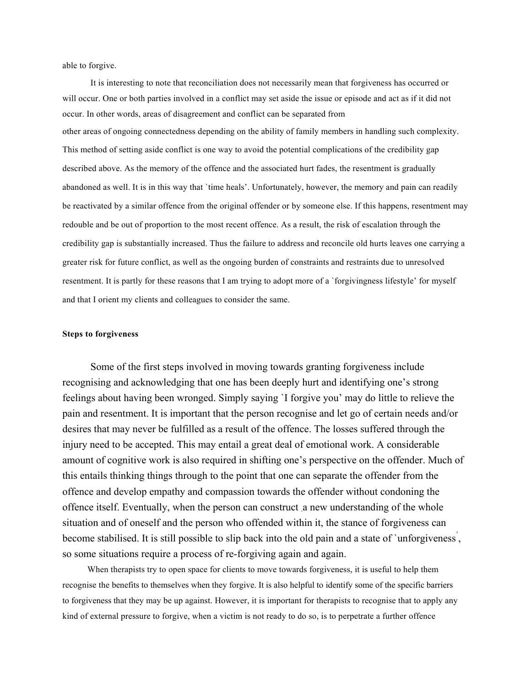able to forgive.

It is interesting to note that reconciliation does not necessarily mean that forgiveness has occurred or will occur. One or both parties involved in a conflict may set aside the issue or episode and act as if it did not occur. In other words, areas of disagreement and conflict can be separated from other areas of ongoing connectedness depending on the ability of family members in handling such complexity. This method of setting aside conflict is one way to avoid the potential complications of the credibility gap described above. As the memory of the offence and the associated hurt fades, the resentment is gradually abandoned as well. It is in this way that `time heals'. Unfortunately, however, the memory and pain can readily be reactivated by a similar offence from the original offender or by someone else. If this happens, resentment may redouble and be out of proportion to the most recent offence. As a result, the risk of escalation through the credibility gap is substantially increased. Thus the failure to address and reconcile old hurts leaves one carrying a greater risk for future conflict, as well as the ongoing burden of constraints and restraints due to unresolved resentment. It is partly for these reasons that I am trying to adopt more of a `forgivingness lifestyle' for myself and that I orient my clients and colleagues to consider the same.

# **Steps to forgiveness**

Some of the first steps involved in moving towards granting forgiveness include recognising and acknowledging that one has been deeply hurt and identifying one's strong feelings about having been wronged. Simply saying `I forgive you' may do little to relieve the pain and resentment. It is important that the person recognise and let go of certain needs and/or desires that may never be fulfilled as a result of the offence. The losses suffered through the injury need to be accepted. This may entail a great deal of emotional work. A considerable amount of cognitive work is also required in shifting one's perspective on the offender. Much of this entails thinking things through to the point that one can separate the offender from the offence and develop empathy and compassion towards the offender without condoning the offence itself. Eventually, when the person can construct .a new understanding of the whole situation and of oneself and the person who offended within it, the stance of forgiveness can become stabilised. It is still possible to slip back into the old pain and a state of 'unforgiveness', so some situations require a process of re-forgiving again and again.

When therapists try to open space for clients to move towards forgiveness, it is useful to help them recognise the benefits to themselves when they forgive. It is also helpful to identify some of the specific barriers to forgiveness that they may be up against. However, it is important for therapists to recognise that to apply any kind of external pressure to forgive, when a victim is not ready to do so, is to perpetrate a further offence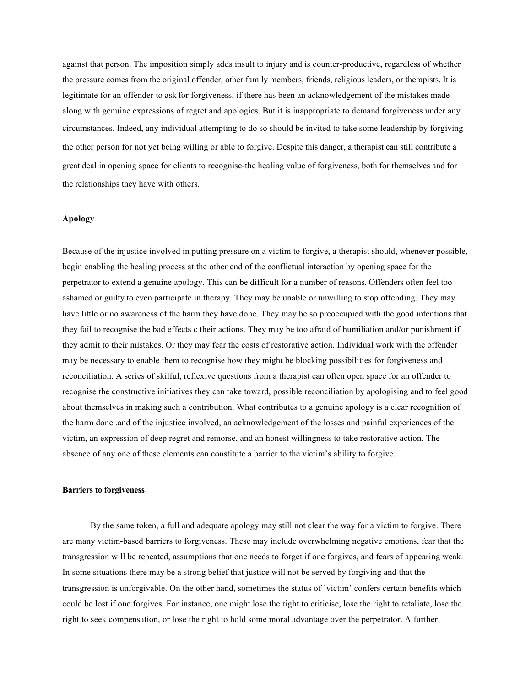against that person. The imposition simply adds insult to injury and is counter-productive, regardless of whether the pressure comes from the original offender, other family members, friends, religious leaders, or therapists. It is legitimate for an offender to ask for forgiveness, if there has been an acknowledgement of the mistakes made along with genuine expressions of regret and apologies. But it is inappropriate to demand forgiveness under any circumstances. Indeed, any individual attempting to do so should be invited to take some leadership by forgiving the other person for not yet being willing or able to forgive. Despite this danger, a therapist can still contribute a great deal in opening space for clients to recognise-the healing value of forgiveness, both for themselves and for the relationships they have with others.

## **Apology**

Because of the injustice involved in putting pressure on a victim to forgive, a therapist should, whenever possible, begin enabling the healing process at the other end of the conflictual interaction by opening space for the perpetrator to extend a genuine apology. This can be difficult for a number of reasons. Offenders often feel too ashamed or guilty to even participate in therapy. They may be unable or unwilling to stop offending. They may have little or no awareness of the harm they have done. They may be so preoccupied with the good intentions that they fail to recognise the bad effects c their actions. They may be too afraid of humiliation and/or punishment if they admit to their mistakes. Or they may fear the costs of restorative action. Individual work with the offender may be necessary to enable them to recognise how they might be blocking possibilities for forgiveness and reconciliation. A series of skilful, reflexive questions from a therapist can often open space for an offender to recognise the constructive initiatives they can take toward, possible reconciliation by apologising and to feel good about themselves in making such a contribution. What contributes to a genuine apology is a clear recognition of the harm done .and of the injustice involved, an acknowledgement of the losses and painful experiences of the victim, an expression of deep regret and remorse, and an honest willingness to take restorative action. The absence of any one of these elements can constitute a barrier to the victim's ability to forgive.

#### **Barriers to forgiveness**

By the same token, a full and adequate apology may still not clear the way for a victim to forgive. There are many victim-based barriers to forgiveness. These may include overwhelming negative emotions, fear that the transgression will be repeated, assumptions that one needs to forget if one forgives, and fears of appearing weak. In some situations there may be a strong belief that justice will not be served by forgiving and that the transgression is unforgivable. On the other hand, sometimes the status of `victim' confers certain benefits which could be lost if one forgives. For instance, one might lose the right to criticise, lose the right to retaliate, lose the right to seek compensation, or lose the right to hold some moral advantage over the perpetrator. A further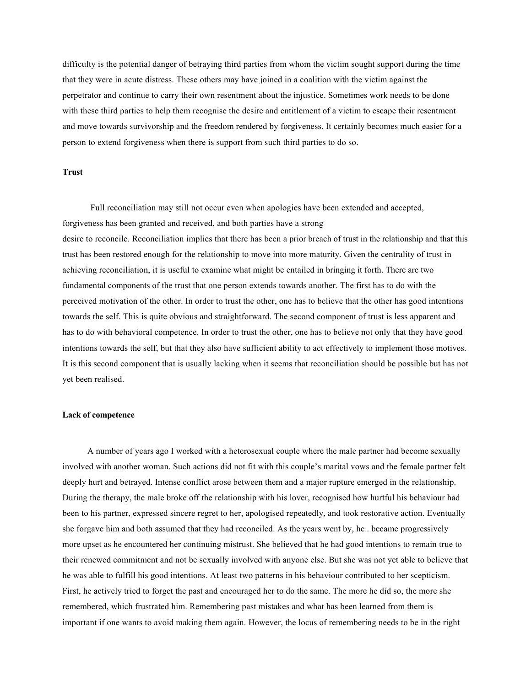difficulty is the potential danger of betraying third parties from whom the victim sought support during the time that they were in acute distress. These others may have joined in a coalition with the victim against the perpetrator and continue to carry their own resentment about the injustice. Sometimes work needs to be done with these third parties to help them recognise the desire and entitlement of a victim to escape their resentment and move towards survivorship and the freedom rendered by forgiveness. It certainly becomes much easier for a person to extend forgiveness when there is support from such third parties to do so.

# **Trust**

Full reconciliation may still not occur even when apologies have been extended and accepted, forgiveness has been granted and received, and both parties have a strong desire to reconcile. Reconciliation implies that there has been a prior breach of trust in the relationship and that this trust has been restored enough for the relationship to move into more maturity. Given the centrality of trust in achieving reconciliation, it is useful to examine what might be entailed in bringing it forth. There are two fundamental components of the trust that one person extends towards another. The first has to do with the perceived motivation of the other. In order to trust the other, one has to believe that the other has good intentions towards the self. This is quite obvious and straightforward. The second component of trust is less apparent and has to do with behavioral competence. In order to trust the other, one has to believe not only that they have good intentions towards the self, but that they also have sufficient ability to act effectively to implement those motives. It is this second component that is usually lacking when it seems that reconciliation should be possible but has not yet been realised.

## **Lack of competence**

A number of years ago I worked with a heterosexual couple where the male partner had become sexually involved with another woman. Such actions did not fit with this couple's marital vows and the female partner felt deeply hurt and betrayed. Intense conflict arose between them and a major rupture emerged in the relationship. During the therapy, the male broke off the relationship with his lover, recognised how hurtful his behaviour had been to his partner, expressed sincere regret to her, apologised repeatedly, and took restorative action. Eventually she forgave him and both assumed that they had reconciled. As the years went by, he . became progressively more upset as he encountered her continuing mistrust. She believed that he had good intentions to remain true to their renewed commitment and not be sexually involved with anyone else. But she was not yet able to believe that he was able to fulfill his good intentions. At least two patterns in his behaviour contributed to her scepticism. First, he actively tried to forget the past and encouraged her to do the same. The more he did so, the more she remembered, which frustrated him. Remembering past mistakes and what has been learned from them is important if one wants to avoid making them again. However, the locus of remembering needs to be in the right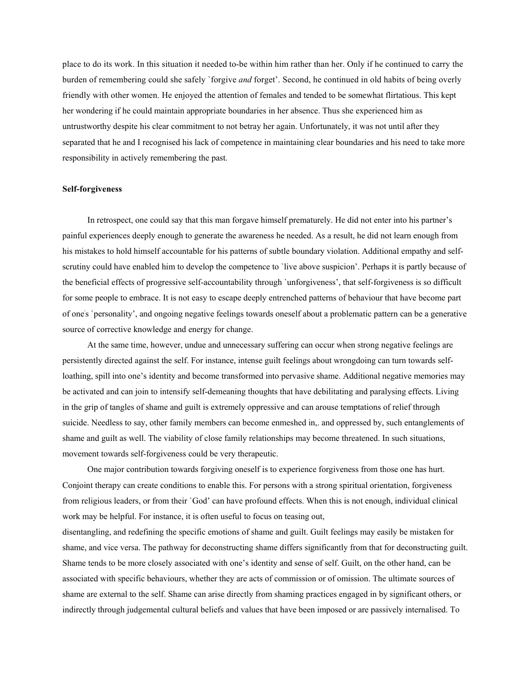place to do its work. In this situation it needed to-be within him rather than her. Only if he continued to carry the burden of remembering could she safely `forgive *and* forget'. Second, he continued in old habits of being overly friendly with other women. He enjoyed the attention of females and tended to be somewhat flirtatious. This kept her wondering if he could maintain appropriate boundaries in her absence. Thus she experienced him as untrustworthy despite his clear commitment to not betray her again. Unfortunately, it was not until after they separated that he and I recognised his lack of competence in maintaining clear boundaries and his need to take more responsibility in actively remembering the past.

### **Self-forgiveness**

In retrospect, one could say that this man forgave himself prematurely. He did not enter into his partner's painful experiences deeply enough to generate the awareness he needed. As a result, he did not learn enough from his mistakes to hold himself accountable for his patterns of subtle boundary violation. Additional empathy and selfscrutiny could have enabled him to develop the competence to `live above suspicion'. Perhaps it is partly because of the beneficial effects of progressive self-accountability through `unforgiveness', that self-forgiveness is so difficult for some people to embrace. It is not easy to escape deeply entrenched patterns of behaviour that have become part of one' s `personality', and ongoing negative feelings towards oneself about a problematic pattern can be a generative source of corrective knowledge and energy for change.

At the same time, however, undue and unnecessary suffering can occur when strong negative feelings are persistently directed against the self. For instance, intense guilt feelings about wrongdoing can turn towards selfloathing, spill into one's identity and become transformed into pervasive shame. Additional negative memories may be activated and can join to intensify self-demeaning thoughts that have debilitating and paralysing effects. Living in the grip of tangles of shame and guilt is extremely oppressive and can arouse temptations of relief through suicide. Needless to say, other family members can become enmeshed in,. and oppressed by, such entanglements of shame and guilt as well. The viability of close family relationships may become threatened. In such situations, movement towards self-forgiveness could be very therapeutic.

One major contribution towards forgiving oneself is to experience forgiveness from those one has hurt. Conjoint therapy can create conditions to enable this. For persons with a strong spiritual orientation, forgiveness from religious leaders, or from their `God' can have profound effects. When this is not enough, individual clinical work may be helpful. For instance, it is often useful to focus on teasing out,

disentangling, and redefining the specific emotions of shame and guilt. Guilt feelings may easily be mistaken for shame, and vice versa. The pathway for deconstructing shame differs significantly from that for deconstructing guilt. Shame tends to be more closely associated with one's identity and sense of self. Guilt, on the other hand, can be associated with specific behaviours, whether they are acts of commission or of omission. The ultimate sources of shame are external to the self. Shame can arise directly from shaming practices engaged in by significant others, or indirectly through judgemental cultural beliefs and values that have been imposed or are passively internalised. To